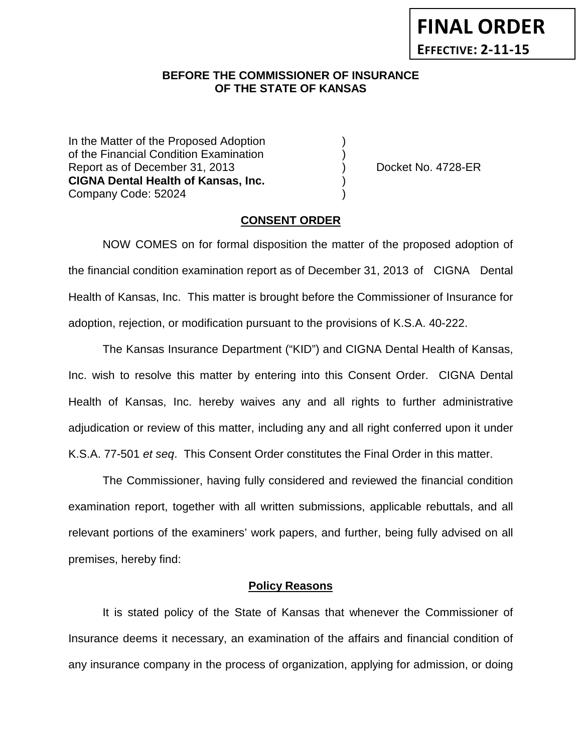## **BEFORE THE COMMISSIONER OF INSURANCE OF THE STATE OF KANSAS**

In the Matter of the Proposed Adoption of the Financial Condition Examination ) Report as of December 31, 2013 (and Separate Left No. 4728-ER **CIGNA Dental Health of Kansas, Inc.** ) Company Code: 52024 )

### **CONSENT ORDER**

NOW COMES on for formal disposition the matter of the proposed adoption of the financial condition examination report as of December 31, 2013 of CIGNA Dental Health of Kansas, Inc. This matter is brought before the Commissioner of Insurance for adoption, rejection, or modification pursuant to the provisions of K.S.A. 40-222.

The Kansas Insurance Department ("KID") and CIGNA Dental Health of Kansas, Inc. wish to resolve this matter by entering into this Consent Order. CIGNA Dental Health of Kansas, Inc. hereby waives any and all rights to further administrative adjudication or review of this matter, including any and all right conferred upon it under K.S.A. 77-501 *et seq*. This Consent Order constitutes the Final Order in this matter.

The Commissioner, having fully considered and reviewed the financial condition examination report, together with all written submissions, applicable rebuttals, and all relevant portions of the examiners' work papers, and further, being fully advised on all premises, hereby find:

### **Policy Reasons**

It is stated policy of the State of Kansas that whenever the Commissioner of Insurance deems it necessary, an examination of the affairs and financial condition of any insurance company in the process of organization, applying for admission, or doing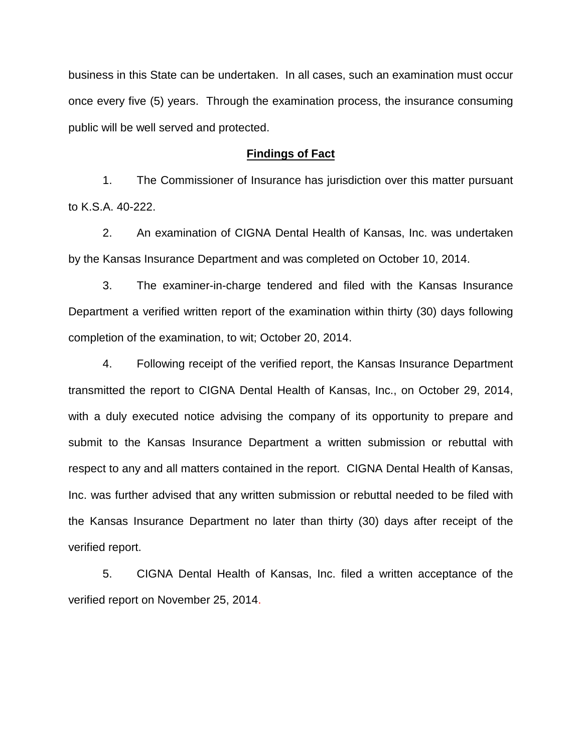business in this State can be undertaken. In all cases, such an examination must occur once every five (5) years. Through the examination process, the insurance consuming public will be well served and protected.

#### **Findings of Fact**

1. The Commissioner of Insurance has jurisdiction over this matter pursuant to K.S.A. 40-222.

2. An examination of CIGNA Dental Health of Kansas, Inc. was undertaken by the Kansas Insurance Department and was completed on October 10, 2014.

3. The examiner-in-charge tendered and filed with the Kansas Insurance Department a verified written report of the examination within thirty (30) days following completion of the examination, to wit; October 20, 2014.

4. Following receipt of the verified report, the Kansas Insurance Department transmitted the report to CIGNA Dental Health of Kansas, Inc., on October 29, 2014, with a duly executed notice advising the company of its opportunity to prepare and submit to the Kansas Insurance Department a written submission or rebuttal with respect to any and all matters contained in the report. CIGNA Dental Health of Kansas, Inc. was further advised that any written submission or rebuttal needed to be filed with the Kansas Insurance Department no later than thirty (30) days after receipt of the verified report.

5. CIGNA Dental Health of Kansas, Inc. filed a written acceptance of the verified report on November 25, 2014.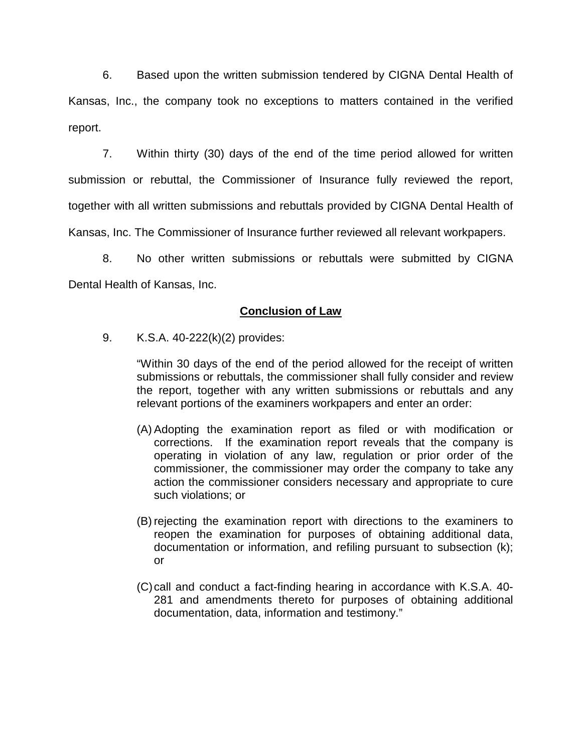6. Based upon the written submission tendered by CIGNA Dental Health of Kansas, Inc., the company took no exceptions to matters contained in the verified report.

7. Within thirty (30) days of the end of the time period allowed for written submission or rebuttal, the Commissioner of Insurance fully reviewed the report, together with all written submissions and rebuttals provided by CIGNA Dental Health of Kansas, Inc. The Commissioner of Insurance further reviewed all relevant workpapers.

8. No other written submissions or rebuttals were submitted by CIGNA Dental Health of Kansas, Inc.

## **Conclusion of Law**

9. K.S.A. 40-222(k)(2) provides:

"Within 30 days of the end of the period allowed for the receipt of written submissions or rebuttals, the commissioner shall fully consider and review the report, together with any written submissions or rebuttals and any relevant portions of the examiners workpapers and enter an order:

- (A) Adopting the examination report as filed or with modification or corrections. If the examination report reveals that the company is operating in violation of any law, regulation or prior order of the commissioner, the commissioner may order the company to take any action the commissioner considers necessary and appropriate to cure such violations; or
- (B) rejecting the examination report with directions to the examiners to reopen the examination for purposes of obtaining additional data, documentation or information, and refiling pursuant to subsection (k); or
- (C)call and conduct a fact-finding hearing in accordance with K.S.A. 40- 281 and amendments thereto for purposes of obtaining additional documentation, data, information and testimony."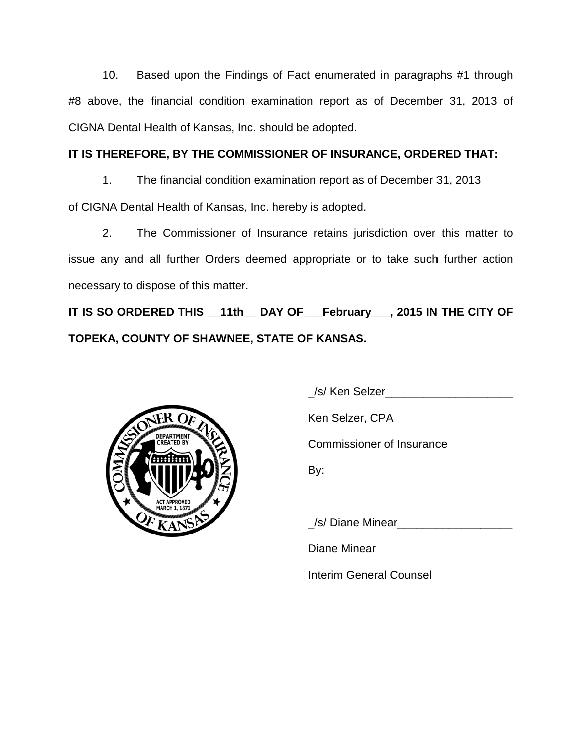10. Based upon the Findings of Fact enumerated in paragraphs #1 through #8 above, the financial condition examination report as of December 31, 2013 of CIGNA Dental Health of Kansas, Inc. should be adopted.

# **IT IS THEREFORE, BY THE COMMISSIONER OF INSURANCE, ORDERED THAT:**

1. The financial condition examination report as of December 31, 2013 of CIGNA Dental Health of Kansas, Inc. hereby is adopted.

2. The Commissioner of Insurance retains jurisdiction over this matter to issue any and all further Orders deemed appropriate or to take such further action necessary to dispose of this matter.

**IT IS SO ORDERED THIS \_\_11th\_\_ DAY OF\_\_\_February\_\_\_, 2015 IN THE CITY OF TOPEKA, COUNTY OF SHAWNEE, STATE OF KANSAS.**



\_/s/ Ken Selzer\_\_\_\_\_\_\_\_\_\_\_\_\_\_\_\_\_\_\_\_

Ken Selzer, CPA

Commissioner of Insurance

By:

/s/ Diane Minear

Diane Minear

Interim General Counsel